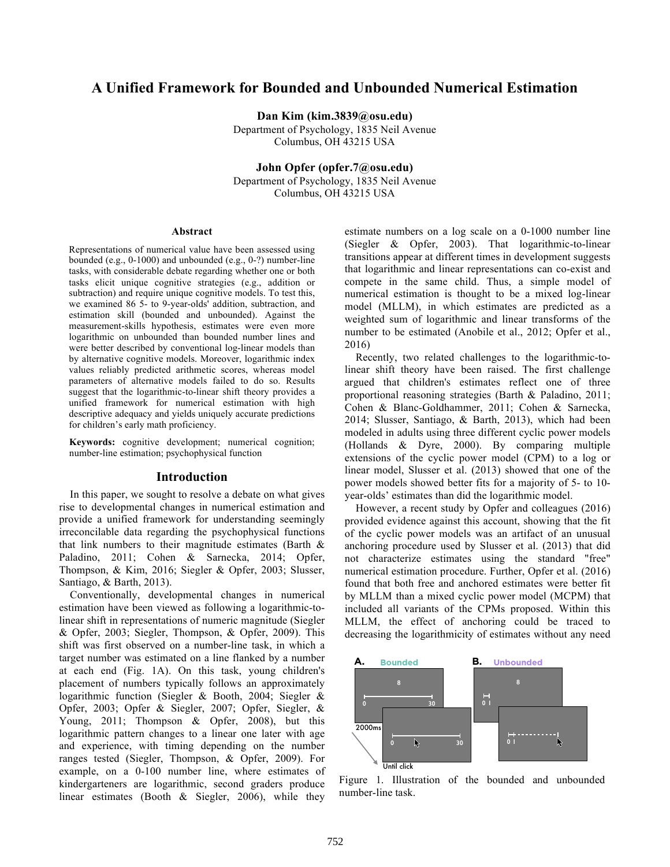# **A Unified Framework for Bounded and Unbounded Numerical Estimation**

**Dan Kim (kim.3839@osu.edu)**

Department of Psychology, 1835 Neil Avenue Columbus, OH 43215 USA

**John Opfer (opfer.7@osu.edu)**

Department of Psychology, 1835 Neil Avenue Columbus, OH 43215 USA

#### **Abstract**

Representations of numerical value have been assessed using bounded (e.g., 0-1000) and unbounded (e.g., 0-?) number-line tasks, with considerable debate regarding whether one or both tasks elicit unique cognitive strategies (e.g., addition or subtraction) and require unique cognitive models. To test this, we examined 86 5- to 9-year-olds' addition, subtraction, and estimation skill (bounded and unbounded). Against the measurement-skills hypothesis, estimates were even more logarithmic on unbounded than bounded number lines and were better described by conventional log-linear models than by alternative cognitive models. Moreover, logarithmic index values reliably predicted arithmetic scores, whereas model parameters of alternative models failed to do so. Results suggest that the logarithmic-to-linear shift theory provides a unified framework for numerical estimation with high descriptive adequacy and yields uniquely accurate predictions for children's early math proficiency.

**Keywords:** cognitive development; numerical cognition; number-line estimation; psychophysical function

# **Introduction**

 In this paper, we sought to resolve a debate on what gives rise to developmental changes in numerical estimation and provide a unified framework for understanding seemingly irreconcilable data regarding the psychophysical functions that link numbers to their magnitude estimates (Barth & Paladino, 2011; Cohen & Sarnecka, 2014; Opfer, Thompson, & Kim, 2016; Siegler & Opfer, 2003; Slusser, Santiago, & Barth, 2013).

 Conventionally, developmental changes in numerical estimation have been viewed as following a logarithmic-tolinear shift in representations of numeric magnitude (Siegler & Opfer, 2003; Siegler, Thompson, & Opfer, 2009). This shift was first observed on a number-line task, in which a target number was estimated on a line flanked by a number at each end (Fig. 1A). On this task, young children's placement of numbers typically follows an approximately logarithmic function (Siegler & Booth, 2004; Siegler & Opfer, 2003; Opfer & Siegler, 2007; Opfer, Siegler, & Young, 2011; Thompson & Opfer, 2008), but this logarithmic pattern changes to a linear one later with age and experience, with timing depending on the number ranges tested (Siegler, Thompson, & Opfer, 2009). For example, on a 0-100 number line, where estimates of kindergarteners are logarithmic, second graders produce linear estimates (Booth & Siegler, 2006), while they

estimate numbers on a log scale on a 0-1000 number line (Siegler & Opfer, 2003). That logarithmic-to-linear transitions appear at different times in development suggests that logarithmic and linear representations can co-exist and compete in the same child. Thus, a simple model of numerical estimation is thought to be a mixed log-linear model (MLLM), in which estimates are predicted as a weighted sum of logarithmic and linear transforms of the number to be estimated (Anobile et al., 2012; Opfer et al., 2016)

 Recently, two related challenges to the logarithmic-tolinear shift theory have been raised. The first challenge argued that children's estimates reflect one of three proportional reasoning strategies (Barth & Paladino, 2011; Cohen & Blanc-Goldhammer, 2011; Cohen & Sarnecka, 2014; Slusser, Santiago, & Barth, 2013), which had been modeled in adults using three different cyclic power models (Hollands & Dyre, 2000). By comparing multiple extensions of the cyclic power model (CPM) to a log or linear model, Slusser et al. (2013) showed that one of the power models showed better fits for a majority of 5- to 10 year-olds' estimates than did the logarithmic model.

 However, a recent study by Opfer and colleagues (2016) provided evidence against this account, showing that the fit of the cyclic power models was an artifact of an unusual anchoring procedure used by Slusser et al. (2013) that did not characterize estimates using the standard "free" numerical estimation procedure. Further, Opfer et al. (2016) found that both free and anchored estimates were better fit by MLLM than a mixed cyclic power model (MCPM) that included all variants of the CPMs proposed. Within this MLLM, the effect of anchoring could be traced to decreasing the logarithmicity of estimates without any need



Figure 1. Illustration of the bounded and unbounded number-line task.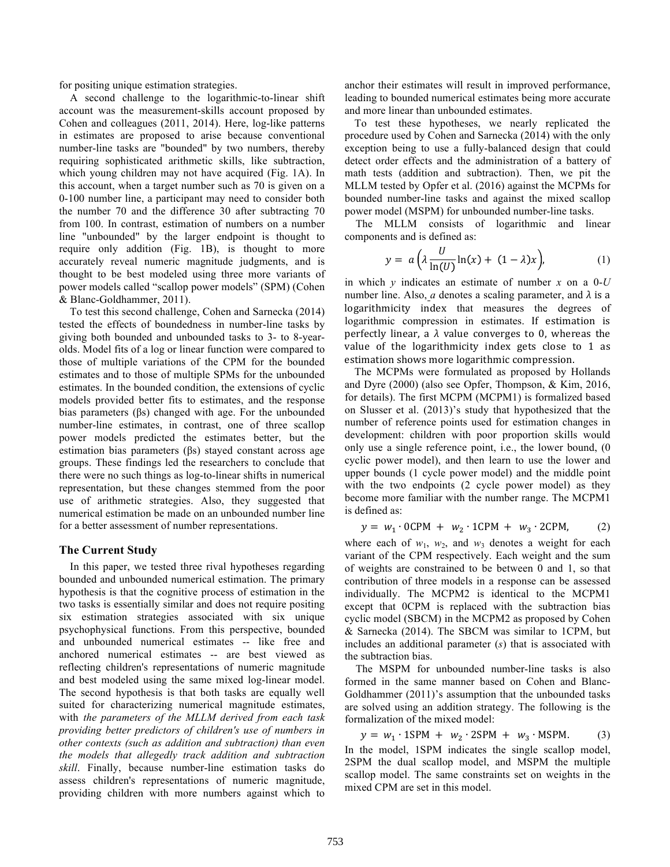for positing unique estimation strategies.

 A second challenge to the logarithmic-to-linear shift account was the measurement-skills account proposed by Cohen and colleagues (2011, 2014). Here, log-like patterns in estimates are proposed to arise because conventional number-line tasks are "bounded" by two numbers, thereby requiring sophisticated arithmetic skills, like subtraction, which young children may not have acquired (Fig. 1A). In this account, when a target number such as 70 is given on a 0-100 number line, a participant may need to consider both the number 70 and the difference 30 after subtracting 70 from 100. In contrast, estimation of numbers on a number line "unbounded" by the larger endpoint is thought to require only addition (Fig. 1B), is thought to more accurately reveal numeric magnitude judgments, and is thought to be best modeled using three more variants of power models called "scallop power models" (SPM) (Cohen & Blanc-Goldhammer, 2011).

 To test this second challenge, Cohen and Sarnecka (2014) tested the effects of boundedness in number-line tasks by giving both bounded and unbounded tasks to 3- to 8-yearolds. Model fits of a log or linear function were compared to those of multiple variations of the CPM for the bounded estimates and to those of multiple SPMs for the unbounded estimates. In the bounded condition, the extensions of cyclic models provided better fits to estimates, and the response bias parameters (βs) changed with age. For the unbounded number-line estimates, in contrast, one of three scallop power models predicted the estimates better, but the estimation bias parameters (βs) stayed constant across age groups. These findings led the researchers to conclude that there were no such things as log-to-linear shifts in numerical representation, but these changes stemmed from the poor use of arithmetic strategies. Also, they suggested that numerical estimation be made on an unbounded number line for a better assessment of number representations.

## **The Current Study**

 In this paper, we tested three rival hypotheses regarding bounded and unbounded numerical estimation. The primary hypothesis is that the cognitive process of estimation in the two tasks is essentially similar and does not require positing six estimation strategies associated with six unique psychophysical functions. From this perspective, bounded and unbounded numerical estimates -- like free and anchored numerical estimates -- are best viewed as reflecting children's representations of numeric magnitude and best modeled using the same mixed log-linear model. The second hypothesis is that both tasks are equally well suited for characterizing numerical magnitude estimates, with *the parameters of the MLLM derived from each task providing better predictors of children's use of numbers in other contexts (such as addition and subtraction) than even the models that allegedly track addition and subtraction skill*. Finally, because number-line estimation tasks do assess children's representations of numeric magnitude, providing children with more numbers against which to anchor their estimates will result in improved performance, leading to bounded numerical estimates being more accurate and more linear than unbounded estimates.

To test these hypotheses, we nearly replicated the procedure used by Cohen and Sarnecka (2014) with the only exception being to use a fully-balanced design that could detect order effects and the administration of a battery of math tests (addition and subtraction). Then, we pit the MLLM tested by Opfer et al. (2016) against the MCPMs for bounded number-line tasks and against the mixed scallop power model (MSPM) for unbounded number-line tasks.

 The MLLM consists of logarithmic and linear components and is defined as:

$$
y = a\left(\lambda \frac{U}{\ln(U)}\ln(x) + (1-\lambda)x\right),\tag{1}
$$

in which *y* indicates an estimate of number *x* on a 0-*U* number line. Also, *a* denotes a scaling parameter, and  $\lambda$  is a logarithmicity index that measures the degrees of logarithmic compression in estimates. If estimation is perfectly linear, a  $\lambda$  value converges to 0, whereas the value of the logarithmicity index gets close to  $1$  as estimation shows more logarithmic compression.

The MCPMs were formulated as proposed by Hollands and Dyre (2000) (also see Opfer, Thompson, & Kim, 2016, for details). The first MCPM (MCPM1) is formalized based on Slusser et al. (2013)'s study that hypothesized that the number of reference points used for estimation changes in development: children with poor proportion skills would only use a single reference point, i.e., the lower bound, (0 cyclic power model), and then learn to use the lower and upper bounds (1 cycle power model) and the middle point with the two endpoints (2 cycle power model) as they become more familiar with the number range. The MCPM1 is defined as:

$$
y = w_1 \cdot 0 \text{CPM} + w_2 \cdot 1 \text{CPM} + w_3 \cdot 2 \text{CPM}, \quad (2)
$$

where each of  $w_1$ ,  $w_2$ , and  $w_3$  denotes a weight for each variant of the CPM respectively. Each weight and the sum of weights are constrained to be between 0 and 1, so that contribution of three models in a response can be assessed individually. The MCPM2 is identical to the MCPM1 except that 0CPM is replaced with the subtraction bias cyclic model (SBCM) in the MCPM2 as proposed by Cohen & Sarnecka (2014). The SBCM was similar to 1CPM, but includes an additional parameter (*s*) that is associated with the subtraction bias.

 The MSPM for unbounded number-line tasks is also formed in the same manner based on Cohen and Blanc-Goldhammer (2011)'s assumption that the unbounded tasks are solved using an addition strategy. The following is the formalization of the mixed model:

 $y = w_1 \cdot 1$ SPM +  $w_2 \cdot 2$ SPM +  $w_3 \cdot M$ SPM. (3) In the model, 1SPM indicates the single scallop model, 2SPM the dual scallop model, and MSPM the multiple scallop model. The same constraints set on weights in the mixed CPM are set in this model.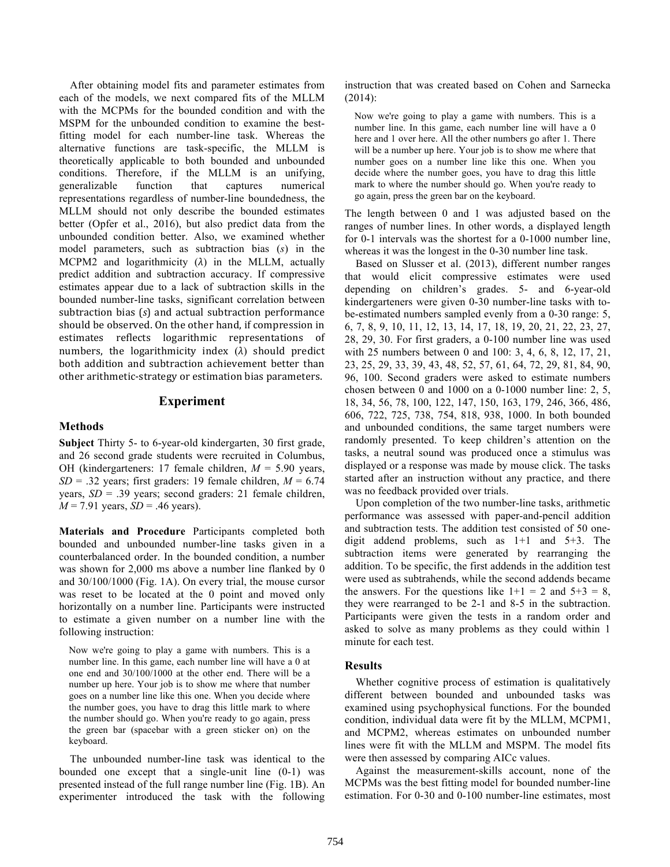After obtaining model fits and parameter estimates from each of the models, we next compared fits of the MLLM with the MCPMs for the bounded condition and with the MSPM for the unbounded condition to examine the bestfitting model for each number-line task. Whereas the alternative functions are task-specific, the MLLM is theoretically applicable to both bounded and unbounded conditions. Therefore, if the MLLM is an unifying, generalizable function that captures numerical representations regardless of number-line boundedness, the MLLM should not only describe the bounded estimates better (Opfer et al., 2016), but also predict data from the unbounded condition better. Also, we examined whether model parameters, such as subtraction bias (*s*) in the MCPM2 and logarithmicity (*λ*) in the MLLM, actually predict addition and subtraction accuracy. If compressive estimates appear due to a lack of subtraction skills in the bounded number-line tasks, significant correlation between subtraction bias (s) and actual subtraction performance should be observed. On the other hand, if compression in estimates reflects logarithmic representations of numbers, the logarithmicity index  $(\lambda)$  should predict both addition and subtraction achievement better than other arithmetic-strategy or estimation bias parameters.

# **Experiment**

# **Methods**

**Subject** Thirty 5- to 6-year-old kindergarten, 30 first grade, and 26 second grade students were recruited in Columbus, OH (kindergarteners: 17 female children, *M* = 5.90 years,  $SD = .32$  years; first graders: 19 female children,  $M = 6.74$ years, *SD* = .39 years; second graders: 21 female children,  $M = 7.91$  years,  $SD = .46$  years).

**Materials and Procedure** Participants completed both bounded and unbounded number-line tasks given in a counterbalanced order. In the bounded condition, a number was shown for 2,000 ms above a number line flanked by 0 and 30/100/1000 (Fig. 1A). On every trial, the mouse cursor was reset to be located at the 0 point and moved only horizontally on a number line. Participants were instructed to estimate a given number on a number line with the following instruction:

Now we're going to play a game with numbers. This is a number line. In this game, each number line will have a 0 at one end and 30/100/1000 at the other end. There will be a number up here. Your job is to show me where that number goes on a number line like this one. When you decide where the number goes, you have to drag this little mark to where the number should go. When you're ready to go again, press the green bar (spacebar with a green sticker on) on the keyboard.

 The unbounded number-line task was identical to the bounded one except that a single-unit line (0-1) was presented instead of the full range number line (Fig. 1B). An experimenter introduced the task with the following instruction that was created based on Cohen and Sarnecka (2014):

Now we're going to play a game with numbers. This is a number line. In this game, each number line will have a 0 here and 1 over here. All the other numbers go after 1. There will be a number up here. Your job is to show me where that number goes on a number line like this one. When you decide where the number goes, you have to drag this little mark to where the number should go. When you're ready to go again, press the green bar on the keyboard.

The length between 0 and 1 was adjusted based on the ranges of number lines. In other words, a displayed length for 0-1 intervals was the shortest for a 0-1000 number line, whereas it was the longest in the 0-30 number line task.

 Based on Slusser et al. (2013), different number ranges that would elicit compressive estimates were used depending on children's grades. 5- and 6-year-old kindergarteners were given 0-30 number-line tasks with tobe-estimated numbers sampled evenly from a 0-30 range: 5, 6, 7, 8, 9, 10, 11, 12, 13, 14, 17, 18, 19, 20, 21, 22, 23, 27, 28, 29, 30. For first graders, a 0-100 number line was used with 25 numbers between 0 and 100: 3, 4, 6, 8, 12, 17, 21, 23, 25, 29, 33, 39, 43, 48, 52, 57, 61, 64, 72, 29, 81, 84, 90, 96, 100. Second graders were asked to estimate numbers chosen between 0 and 1000 on a 0-1000 number line: 2, 5, 18, 34, 56, 78, 100, 122, 147, 150, 163, 179, 246, 366, 486, 606, 722, 725, 738, 754, 818, 938, 1000. In both bounded and unbounded conditions, the same target numbers were randomly presented. To keep children's attention on the tasks, a neutral sound was produced once a stimulus was displayed or a response was made by mouse click. The tasks started after an instruction without any practice, and there was no feedback provided over trials.

 Upon completion of the two number-line tasks, arithmetic performance was assessed with paper-and-pencil addition and subtraction tests. The addition test consisted of 50 onedigit addend problems, such as 1+1 and 5+3. The subtraction items were generated by rearranging the addition. To be specific, the first addends in the addition test were used as subtrahends, while the second addends became the answers. For the questions like  $1+1 = 2$  and  $5+3 = 8$ , they were rearranged to be 2-1 and 8-5 in the subtraction. Participants were given the tests in a random order and asked to solve as many problems as they could within 1 minute for each test.

#### **Results**

 Whether cognitive process of estimation is qualitatively different between bounded and unbounded tasks was examined using psychophysical functions. For the bounded condition, individual data were fit by the MLLM, MCPM1, and MCPM2, whereas estimates on unbounded number lines were fit with the MLLM and MSPM. The model fits were then assessed by comparing AICc values.

 Against the measurement-skills account, none of the MCPMs was the best fitting model for bounded number-line estimation. For 0-30 and 0-100 number-line estimates, most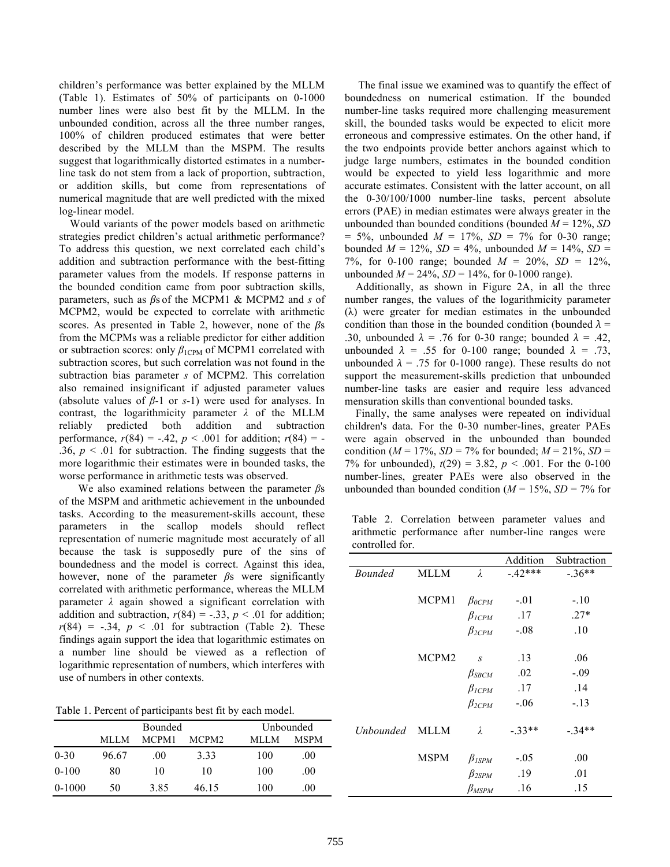children's performance was better explained by the MLLM (Table 1). Estimates of 50% of participants on 0-1000 number lines were also best fit by the MLLM. In the unbounded condition, across all the three number ranges, 100% of children produced estimates that were better described by the MLLM than the MSPM. The results suggest that logarithmically distorted estimates in a numberline task do not stem from a lack of proportion, subtraction, or addition skills, but come from representations of numerical magnitude that are well predicted with the mixed log-linear model.

 Would variants of the power models based on arithmetic strategies predict children's actual arithmetic performance? To address this question, we next correlated each child's addition and subtraction performance with the best-fitting parameter values from the models. If response patterns in the bounded condition came from poor subtraction skills, parameters, such as *β*s of the MCPM1 & MCPM2 and *s* of MCPM2, would be expected to correlate with arithmetic scores. As presented in Table 2, however, none of the *β*s from the MCPMs was a reliable predictor for either addition or subtraction scores: only  $β<sub>1CPM</sub>$  of MCPM1 correlated with subtraction scores, but such correlation was not found in the subtraction bias parameter *s* of MCPM2. This correlation also remained insignificant if adjusted parameter values (absolute values of *β*-1 or *s*-1) were used for analyses. In contrast, the logarithmicity parameter *λ* of the MLLM reliably predicted both addition and subtraction performance,  $r(84) = -.42$ ,  $p < .001$  for addition;  $r(84) = -$ .36,  $p \leq 0.01$  for subtraction. The finding suggests that the more logarithmic their estimates were in bounded tasks, the worse performance in arithmetic tests was observed.

 We also examined relations between the parameter *β*s of the MSPM and arithmetic achievement in the unbounded tasks. According to the measurement-skills account, these parameters in the scallop models should reflect representation of numeric magnitude most accurately of all because the task is supposedly pure of the sins of boundedness and the model is correct. Against this idea, however, none of the parameter *β*s were significantly correlated with arithmetic performance, whereas the MLLM parameter *λ* again showed a significant correlation with addition and subtraction,  $r(84) = -.33$ ,  $p < .01$  for addition;  $r(84) = -.34$ ,  $p < .01$  for subtraction (Table 2). These findings again support the idea that logarithmic estimates on a number line should be viewed as a reflection of logarithmic representation of numbers, which interferes with use of numbers in other contexts.

Table 1. Percent of participants best fit by each model.

|          | Bounded |       |                   | Unbounded |             |
|----------|---------|-------|-------------------|-----------|-------------|
|          | MLLM    | MCPM1 | MCPM <sub>2</sub> | MLLM      | <b>MSPM</b> |
| $0 - 30$ | 96.67   | .00   | 3.33              | 100       | .00         |
| $0-100$  | 80      | 10    | 10                | 100       | .00.        |
| $0-1000$ | 50      | 3.85  | 46.15             | 100       | .00         |

 The final issue we examined was to quantify the effect of boundedness on numerical estimation. If the bounded number-line tasks required more challenging measurement skill, the bounded tasks would be expected to elicit more erroneous and compressive estimates. On the other hand, if the two endpoints provide better anchors against which to judge large numbers, estimates in the bounded condition would be expected to yield less logarithmic and more accurate estimates. Consistent with the latter account, on all the 0-30/100/1000 number-line tasks, percent absolute errors (PAE) in median estimates were always greater in the unbounded than bounded conditions (bounded *M* = 12%, *SD*  $= 5\%$ , unbounded  $M = 17\%$ ,  $SD = 7\%$  for 0-30 range; bounded  $M = 12\%, SD = 4\%,$  unbounded  $M = 14\%, SD =$ 7%, for 0-100 range; bounded *M* = 20%, *SD* = 12%, unbounded  $M = 24\%$ ,  $SD = 14\%$ , for 0-1000 range).

 Additionally, as shown in Figure 2A, in all the three number ranges, the values of the logarithmicity parameter (λ) were greater for median estimates in the unbounded condition than those in the bounded condition (bounded  $\lambda$  = .30, unbounded  $\lambda = .76$  for 0-30 range; bounded  $\lambda = .42$ , unbounded  $\lambda = .55$  for 0-100 range; bounded  $\lambda = .73$ , unbounded  $\lambda = .75$  for 0-1000 range). These results do not support the measurement-skills prediction that unbounded number-line tasks are easier and require less advanced mensuration skills than conventional bounded tasks.

 Finally, the same analyses were repeated on individual children's data. For the 0-30 number-lines, greater PAEs were again observed in the unbounded than bounded condition ( $M = 17\%$ ,  $SD = 7\%$  for bounded;  $M = 21\%$ ,  $SD =$ 7% for unbounded),  $t(29) = 3.82$ ,  $p < .001$ . For the 0-100 number-lines, greater PAEs were also observed in the unbounded than bounded condition ( $M = 15\%$ ,  $SD = 7\%$  for

Table 2. Correlation between parameter values and arithmetic performance after number-line ranges were controlled for.

|                  |             |                | Addition | Subtraction |
|------------------|-------------|----------------|----------|-------------|
| <b>Bounded</b>   | <b>MLLM</b> | $\lambda$      | $-42***$ | $-36**$     |
|                  |             |                |          |             |
|                  | MCPM1       | $\beta_{0CPM}$ | $-.01$   | $-.10$      |
|                  |             | $\beta_{ICPM}$ | .17      | $.27*$      |
|                  |             | $\beta_{2CPM}$ | $-.08$   | .10         |
|                  |             |                |          |             |
|                  | MCPM2       | $\overline{S}$ | .13      | .06         |
|                  |             | $\beta_{SBCM}$ | .02      | $-.09$      |
|                  |             | $\beta_{ICPM}$ | .17      | .14         |
|                  |             | $\beta_{2CPM}$ | $-.06$   | $-.13$      |
|                  |             |                |          |             |
| <b>Unbounded</b> | <b>MLLM</b> | $\lambda$      | $-.33**$ | $-.34**$    |
|                  |             |                |          |             |
|                  | <b>MSPM</b> | $\beta_{ISPM}$ | $-.05$   | .00         |
|                  |             | $\beta_{2SPM}$ | .19      | .01         |
|                  |             | $\beta_{MSPM}$ | .16      | .15         |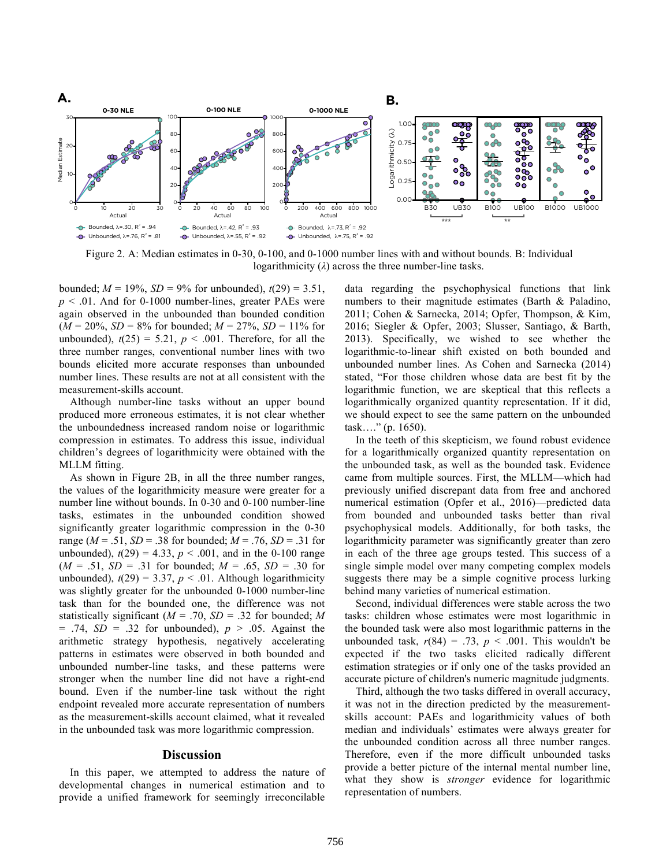

Figure 2. A: Median estimates in 0-30, 0-100, and 0-1000 number lines with and without bounds. B: Individual logarithmicity  $(\lambda)$  across the three number-line tasks.

bounded;  $M = 19\%$ ,  $SD = 9\%$  for unbounded),  $t(29) = 3.51$ ,  $p \leq 0.01$ . And for 0-1000 number-lines, greater PAEs were again observed in the unbounded than bounded condition  $(M = 20\%, SD = 8\%$  for bounded;  $M = 27\%, SD = 11\%$  for unbounded),  $t(25) = 5.21$ ,  $p < .001$ . Therefore, for all the three number ranges, conventional number lines with two bounds elicited more accurate responses than unbounded number lines. These results are not at all consistent with the measurement-skills account.

 Although number-line tasks without an upper bound produced more erroneous estimates, it is not clear whether the unboundedness increased random noise or logarithmic compression in estimates. To address this issue, individual children's degrees of logarithmicity were obtained with the MLLM fitting.

 As shown in Figure 2B, in all the three number ranges, the values of the logarithmicity measure were greater for a number line without bounds. In 0-30 and 0-100 number-line tasks, estimates in the unbounded condition showed significantly greater logarithmic compression in the 0-30 range ( $M = .51$ ,  $SD = .38$  for bounded;  $M = .76$ ,  $SD = .31$  for unbounded),  $t(29) = 4.33$ ,  $p < .001$ , and in the 0-100 range  $(M = .51, SD = .31$  for bounded;  $M = .65, SD = .30$  for unbounded),  $t(29) = 3.37$ ,  $p < .01$ . Although logarithmicity was slightly greater for the unbounded 0-1000 number-line task than for the bounded one, the difference was not statistically significant (*M* = .70, *SD* = .32 for bounded; *M*  $= .74$ ,  $SD = .32$  for unbounded),  $p > .05$ . Against the arithmetic strategy hypothesis, negatively accelerating patterns in estimates were observed in both bounded and unbounded number-line tasks, and these patterns were stronger when the number line did not have a right-end bound. Even if the number-line task without the right endpoint revealed more accurate representation of numbers as the measurement-skills account claimed, what it revealed in the unbounded task was more logarithmic compression.

## **Discussion**

 In this paper, we attempted to address the nature of developmental changes in numerical estimation and to provide a unified framework for seemingly irreconcilable data regarding the psychophysical functions that link numbers to their magnitude estimates (Barth & Paladino, 2011; Cohen & Sarnecka, 2014; Opfer, Thompson, & Kim, 2016; Siegler & Opfer, 2003; Slusser, Santiago, & Barth, 2013). Specifically, we wished to see whether the logarithmic-to-linear shift existed on both bounded and unbounded number lines. As Cohen and Sarnecka (2014) stated, "For those children whose data are best fit by the logarithmic function, we are skeptical that this reflects a logarithmically organized quantity representation. If it did, we should expect to see the same pattern on the unbounded task…." (p. 1650).

In the teeth of this skepticism, we found robust evidence for a logarithmically organized quantity representation on the unbounded task, as well as the bounded task. Evidence came from multiple sources. First, the MLLM—which had previously unified discrepant data from free and anchored numerical estimation (Opfer et al., 2016)—predicted data from bounded and unbounded tasks better than rival psychophysical models. Additionally, for both tasks, the logarithmicity parameter was significantly greater than zero in each of the three age groups tested. This success of a single simple model over many competing complex models suggests there may be a simple cognitive process lurking behind many varieties of numerical estimation.

 Second, individual differences were stable across the two tasks: children whose estimates were most logarithmic in the bounded task were also most logarithmic patterns in the unbounded task,  $r(84) = .73$ ,  $p < .001$ . This wouldn't be expected if the two tasks elicited radically different estimation strategies or if only one of the tasks provided an accurate picture of children's numeric magnitude judgments.

 Third, although the two tasks differed in overall accuracy, it was not in the direction predicted by the measurementskills account: PAEs and logarithmicity values of both median and individuals' estimates were always greater for the unbounded condition across all three number ranges. Therefore, even if the more difficult unbounded tasks provide a better picture of the internal mental number line, what they show is *stronger* evidence for logarithmic representation of numbers.